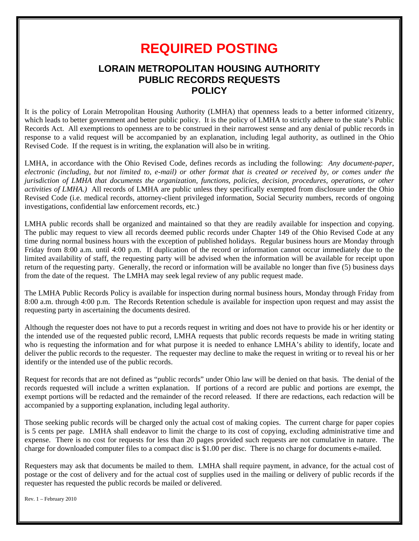# **REQUIRED POSTING**

# **LORAIN METROPOLITAN HOUSING AUTHORITY PUBLIC RECORDS REQUESTS POLICY**

It is the policy of Lorain Metropolitan Housing Authority (LMHA) that openness leads to a better informed citizenry, which leads to better government and better public policy. It is the policy of LMHA to strictly adhere to the state's Public Records Act. All exemptions to openness are to be construed in their narrowest sense and any denial of public records in response to a valid request will be accompanied by an explanation, including legal authority, as outlined in the Ohio Revised Code. If the request is in writing, the explanation will also be in writing.

LMHA, in accordance with the Ohio Revised Code, defines records as including the following: *Any document-paper, electronic (including, but not limited to, e-mail) or other format that is created or received by, or comes under the jurisdiction of LMHA that documents the organization, functions, policies, decision, procedures, operations, or other activities of LMHA.)* All records of LMHA are public unless they specifically exempted from disclosure under the Ohio Revised Code (i.e. medical records, attorney-client privileged information, Social Security numbers, records of ongoing investigations, confidential law enforcement records, etc.)

LMHA public records shall be organized and maintained so that they are readily available for inspection and copying. The public may request to view all records deemed public records under Chapter 149 of the Ohio Revised Code at any time during normal business hours with the exception of published holidays. Regular business hours are Monday through Friday from 8:00 a.m. until 4:00 p.m. If duplication of the record or information cannot occur immediately due to the limited availability of staff, the requesting party will be advised when the information will be available for receipt upon return of the requesting party. Generally, the record or information will be available no longer than five (5) business days from the date of the request. The LMHA may seek legal review of any public request made.

The LMHA Public Records Policy is available for inspection during normal business hours, Monday through Friday from 8:00 a.m. through 4:00 p.m. The Records Retention schedule is available for inspection upon request and may assist the requesting party in ascertaining the documents desired.

Although the requester does not have to put a records request in writing and does not have to provide his or her identity or the intended use of the requested public record, LMHA requests that public records requests be made in writing stating who is requesting the information and for what purpose it is needed to enhance LMHA's ability to identify, locate and deliver the public records to the requester. The requester may decline to make the request in writing or to reveal his or her identify or the intended use of the public records.

Request for records that are not defined as "public records" under Ohio law will be denied on that basis. The denial of the records requested will include a written explanation. If portions of a record are public and portions are exempt, the exempt portions will be redacted and the remainder of the record released. If there are redactions, each redaction will be accompanied by a supporting explanation, including legal authority.

Those seeking public records will be charged only the actual cost of making copies. The current charge for paper copies is 5 cents per page. LMHA shall endeavor to limit the charge to its cost of copying, excluding administrative time and expense. There is no cost for requests for less than 20 pages provided such requests are not cumulative in nature. The charge for downloaded computer files to a compact disc is \$1.00 per disc. There is no charge for documents e-mailed.

Requesters may ask that documents be mailed to them. LMHA shall require payment, in advance, for the actual cost of postage or the cost of delivery and for the actual cost of supplies used in the mailing or delivery of public records if the requester has requested the public records be mailed or delivered.

Rev. 1 – February 2010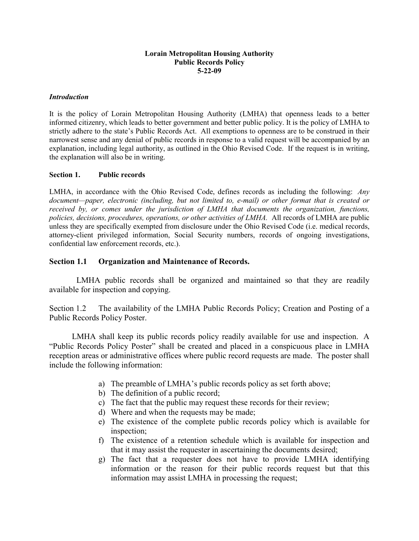#### **Lorain Metropolitan Housing Authority Public Records Policy 5-22-09**

#### *Introduction*

It is the policy of Lorain Metropolitan Housing Authority (LMHA) that openness leads to a better informed citizenry, which leads to better government and better public policy. It is the policy of LMHA to strictly adhere to the state's Public Records Act. All exemptions to openness are to be construed in their narrowest sense and any denial of public records in response to a valid request will be accompanied by an explanation, including legal authority, as outlined in the Ohio Revised Code. If the request is in writing, the explanation will also be in writing.

#### **Section 1. Public records**

LMHA, in accordance with the Ohio Revised Code, defines records as including the following: *Any document—paper, electronic (including, but not limited to, e-mail) or other format that is created or received by, or comes under the jurisdiction of LMHA that documents the organization, functions, policies, decisions, procedures, operations, or other activities of LMHA.* All records of LMHA are public unless they are specifically exempted from disclosure under the Ohio Revised Code (i.e. medical records, attorney-client privileged information, Social Security numbers, records of ongoing investigations, confidential law enforcement records, etc.).

#### **Section 1.1 Organization and Maintenance of Records.**

 LMHA public records shall be organized and maintained so that they are readily available for inspection and copying.

Section 1.2 The availability of the LMHA Public Records Policy; Creation and Posting of a Public Records Policy Poster.

 LMHA shall keep its public records policy readily available for use and inspection. A "Public Records Policy Poster" shall be created and placed in a conspicuous place in LMHA reception areas or administrative offices where public record requests are made. The poster shall include the following information:

- a) The preamble of LMHA's public records policy as set forth above;
- b) The definition of a public record;
- c) The fact that the public may request these records for their review;
- d) Where and when the requests may be made;
- e) The existence of the complete public records policy which is available for inspection;
- f) The existence of a retention schedule which is available for inspection and that it may assist the requester in ascertaining the documents desired;
- g) The fact that a requester does not have to provide LMHA identifying information or the reason for their public records request but that this information may assist LMHA in processing the request;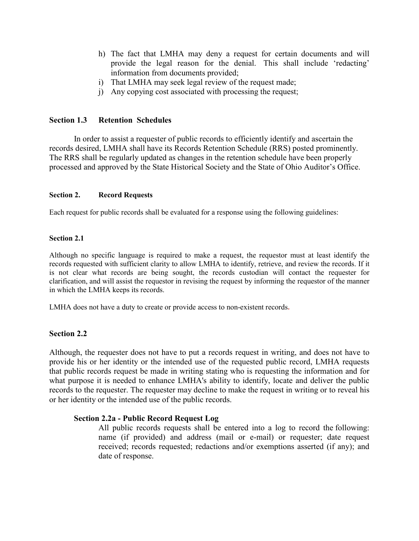- h) The fact that LMHA may deny a request for certain documents and will provide the legal reason for the denial. This shall include 'redacting' information from documents provided;
- i) That LMHA may seek legal review of the request made;
- j) Any copying cost associated with processing the request;

## **Section 1.3 Retention Schedules**

In order to assist a requester of public records to efficiently identify and ascertain the records desired, LMHA shall have its Records Retention Schedule (RRS) posted prominently. The RRS shall be regularly updated as changes in the retention schedule have been properly processed and approved by the State Historical Society and the State of Ohio Auditor's Office.

#### **Section 2. Record Requests**

Each request for public records shall be evaluated for a response using the following guidelines:

#### **Section 2.1**

Although no specific language is required to make a request, the requestor must at least identify the records requested with sufficient clarity to allow LMHA to identify, retrieve, and review the records. If it is not clear what records are being sought, the records custodian will contact the requester for clarification, and will assist the requestor in revising the request by informing the requestor of the manner in which the LMHA keeps its records.

LMHA does not have a duty to create or provide access to non-existent records**.**

## **Section 2.2**

Although, the requester does not have to put a records request in writing, and does not have to provide his or her identity or the intended use of the requested public record, LMHA requests that public records request be made in writing stating who is requesting the information and for what purpose it is needed to enhance LMHA's ability to identify, locate and deliver the public records to the requester. The requester may decline to make the request in writing or to reveal his or her identity or the intended use of the public records.

## **Section 2.2a - Public Record Request Log**

All public records requests shall be entered into a log to record the following: name (if provided) and address (mail or e-mail) or requester; date request received; records requested; redactions and/or exemptions asserted (if any); and date of response.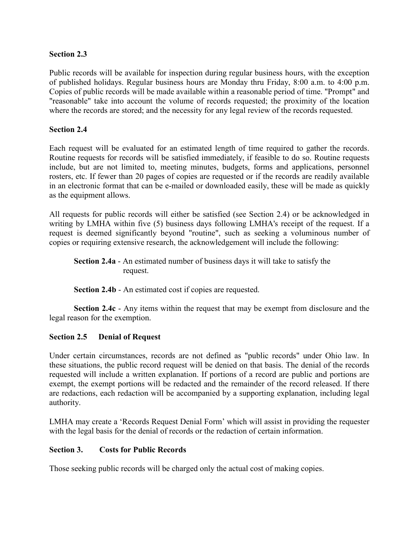# **Section 2.3**

Public records will be available for inspection during regular business hours, with the exception of published holidays. Regular business hours are Monday thru Friday, 8:00 a.m. to 4:00 p.m. Copies of public records will be made available within a reasonable period of time. "Prompt" and "reasonable" take into account the volume of records requested; the proximity of the location where the records are stored; and the necessity for any legal review of the records requested.

## **Section 2.4**

Each request will be evaluated for an estimated length of time required to gather the records. Routine requests for records will be satisfied immediately, if feasible to do so. Routine requests include, but are not limited to, meeting minutes, budgets, forms and applications, personnel rosters, etc. If fewer than 20 pages of copies are requested or if the records are readily available in an electronic format that can be e-mailed or downloaded easily, these will be made as quickly as the equipment allows.

All requests for public records will either be satisfied (see Section 2.4) or be acknowledged in writing by LMHA within five (5) business days following LMHA's receipt of the request. If a request is deemed significantly beyond "routine", such as seeking a voluminous number of copies or requiring extensive research, the acknowledgement will include the following:

**Section 2.4a** - An estimated number of business days it will take to satisfy the request.

**Section 2.4b** - An estimated cost if copies are requested.

**Section 2.4c** - Any items within the request that may be exempt from disclosure and the legal reason for the exemption.

## **Section 2.5 Denial of Request**

Under certain circumstances, records are not defined as "public records" under Ohio law. In these situations, the public record request will be denied on that basis. The denial of the records requested will include a written explanation. If portions of a record are public and portions are exempt, the exempt portions will be redacted and the remainder of the record released. If there are redactions, each redaction will be accompanied by a supporting explanation, including legal authority.

LMHA may create a 'Records Request Denial Form' which will assist in providing the requester with the legal basis for the denial of records or the redaction of certain information.

## **Section 3. Costs for Public Records**

Those seeking public records will be charged only the actual cost of making copies.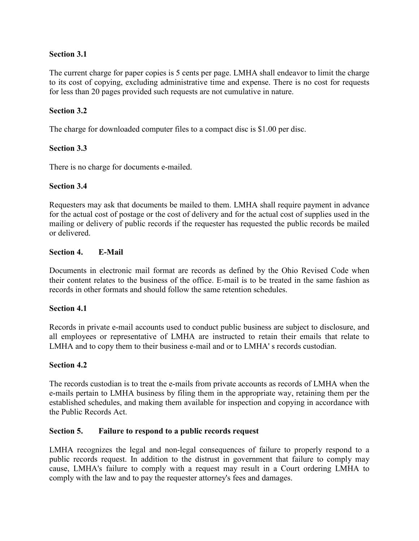# **Section 3.1**

The current charge for paper copies is 5 cents per page. LMHA shall endeavor to limit the charge to its cost of copying, excluding administrative time and expense. There is no cost for requests for less than 20 pages provided such requests are not cumulative in nature.

# **Section 3.2**

The charge for downloaded computer files to a compact disc is \$1.00 per disc.

# **Section 3.3**

There is no charge for documents e-mailed.

# **Section 3.4**

Requesters may ask that documents be mailed to them. LMHA shall require payment in advance for the actual cost of postage or the cost of delivery and for the actual cost of supplies used in the mailing or delivery of public records if the requester has requested the public records be mailed or delivered.

# **Section 4. E-Mail**

Documents in electronic mail format are records as defined by the Ohio Revised Code when their content relates to the business of the office. E-mail is to be treated in the same fashion as records in other formats and should follow the same retention schedules.

# **Section 4.1**

Records in private e-mail accounts used to conduct public business are subject to disclosure, and all employees or representative of LMHA are instructed to retain their emails that relate to LMHA and to copy them to their business e-mail and or to LMHA' s records custodian.

# **Section 4.2**

The records custodian is to treat the e-mails from private accounts as records of LMHA when the e-mails pertain to LMHA business by filing them in the appropriate way, retaining them per the established schedules, and making them available for inspection and copying in accordance with the Public Records Act.

# **Section 5. Failure to respond to a public records request**

LMHA recognizes the legal and non-legal consequences of failure to properly respond to a public records request. In addition to the distrust in government that failure to comply may cause, LMHA's failure to comply with a request may result in a Court ordering LMHA to comply with the law and to pay the requester attorney's fees and damages.